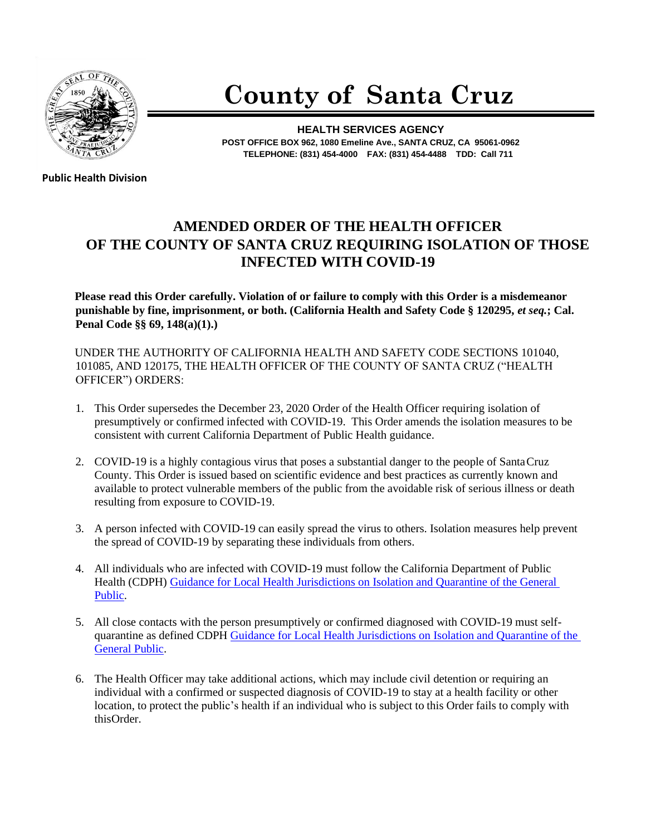

## **County of Santa Cruz**

**HEALTH SERVICES AGENCY POST OFFICE BOX 962, 1080 Emeline Ave., SANTA CRUZ, CA 95061-0962 TELEPHONE: (831) 454-4000 FAX: (831) 454-4488 TDD: Call 711**

**Public Health Division** 

## **AMENDED ORDER OF THE HEALTH OFFICER OF THE COUNTY OF SANTA CRUZ REQUIRING ISOLATION OF THOSE INFECTED WITH COVID-19**

**Please read this Order carefully. Violation of or failure to comply with this Order is a misdemeanor punishable by fine, imprisonment, or both. (California Health and Safety Code § 120295,** *et seq.***; Cal. Penal Code §§ 69, 148(a)(1).)**

UNDER THE AUTHORITY OF CALIFORNIA HEALTH AND SAFETY CODE SECTIONS 101040, 101085, AND 120175, THE HEALTH OFFICER OF THE COUNTY OF SANTA CRUZ ("HEALTH OFFICER") ORDERS:

- 1. This Order supersedes the December 23, 2020 Order of the Health Officer requiring isolation of presumptively or confirmed infected with COVID-19. This Order amends the isolation measures to be consistent with current California Department of Public Health guidance.
- 2. COVID-19 is a highly contagious virus that poses a substantial danger to the people of Santa Cruz County. This Order is issued based on scientific evidence and best practices as currently known and available to protect vulnerable members of the public from the avoidable risk of serious illness or death resulting from exposure to COVID-19.
- 3. A person infected with COVID-19 can easily spread the virus to others. Isolation measures help prevent the spread of COVID-19 by separating these individuals from others.
- 4. All individuals who are infected with COVID-19 must follow the California Department of Public Health (CDPH) [Guidance for Local Health Jurisdictions on Isolation and Quarantine of the General](https://www.cdph.ca.gov/Programs/CID/DCDC/Pages/COVID-19/Guidance-on-Isolation-and-Quarantine-for-COVID-19-Contact-Tracing.aspx)  [Public.](https://www.cdph.ca.gov/Programs/CID/DCDC/Pages/COVID-19/Guidance-on-Isolation-and-Quarantine-for-COVID-19-Contact-Tracing.aspx)
- 5. All close contacts with the person presumptively or confirmed diagnosed with COVID-19 must selfquarantine as defined CDPH Guidance for Local Health Jurisdictions on Isolation and Quarantine of the [General Public.](https://www.cdph.ca.gov/Programs/CID/DCDC/Pages/COVID-19/Guidance-on-Isolation-and-Quarantine-for-COVID-19-Contact-Tracing.aspx)
- 6. The Health Officer may take additional actions, which may include civil detention or requiring an individual with a confirmed or suspected diagnosis of COVID-19 to stay at a health facility or other location, to protect the public's health if an individual who is subject to this Order fails to comply with thisOrder.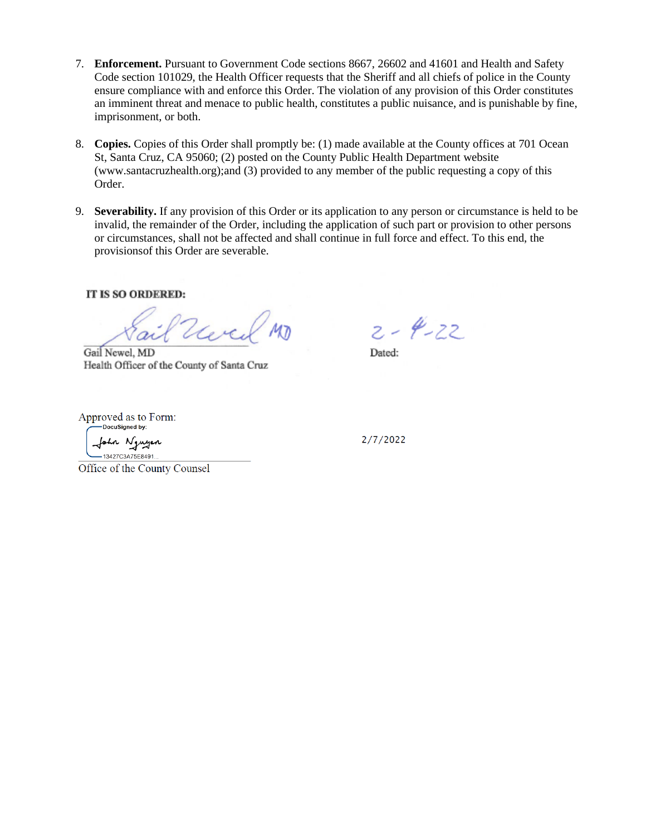- 7. **Enforcement.** Pursuant to Government Code sections 8667, 26602 and 41601 and Health and Safety Code section 101029, the Health Officer requests that the Sheriff and all chiefs of police in the County ensure compliance with and enforce this Order. The violation of any provision of this Order constitutes an imminent threat and menace to public health, constitutes a public nuisance, and is punishable by fine, imprisonment, or both.
- 8. **Copies.** Copies of this Order shall promptly be: (1) made available at the County offices at 701 Ocean St, Santa Cruz, CA 95060; (2) posted on the County Public Health Department website (www.santacruzhealth.org);and (3) provided to any member of the public requesting a copy of this Order.
- 9. **Severability.** If any provision of this Order or its application to any person or circumstance is held to be invalid, the remainder of the Order, including the application of such part or provision to other persons or circumstances, shall not be affected and shall continue in full force and effect. To this end, the provisionsof this Order are severable.

## IT IS SO ORDERED:

Ver

Gail Newel, MD Health Officer of the County of Santa Cruz

 $2 - 4 - 22$ 

Dated:

Approved as to Form: -DocuSigned by:

n Nguyen 13427C3A75F8491

2/7/2022

Office of the County Counsel